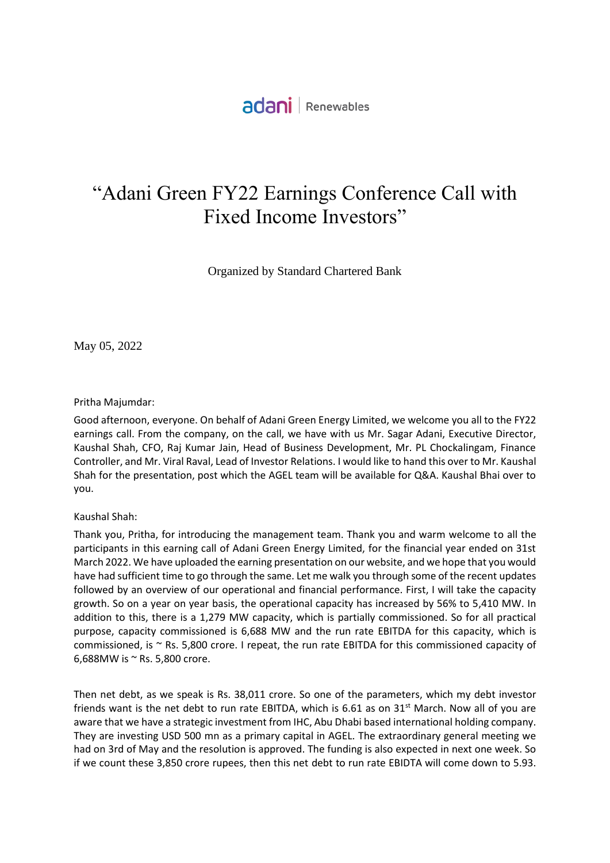# adani | Renewables

# "Adani Green FY22 Earnings Conference Call with Fixed Income Investors"

Organized by Standard Chartered Bank

May 05, 2022

### Pritha Majumdar:

Good afternoon, everyone. On behalf of Adani Green Energy Limited, we welcome you all to the FY22 earnings call. From the company, on the call, we have with us Mr. Sagar Adani, Executive Director, Kaushal Shah, CFO, Raj Kumar Jain, Head of Business Development, Mr. PL Chockalingam, Finance Controller, and Mr. Viral Raval, Lead of Investor Relations. I would like to hand this over to Mr. Kaushal Shah for the presentation, post which the AGEL team will be available for Q&A. Kaushal Bhai over to you.

#### Kaushal Shah:

Thank you, Pritha, for introducing the management team. Thank you and warm welcome to all the participants in this earning call of Adani Green Energy Limited, for the financial year ended on 31st March 2022. We have uploaded the earning presentation on our website, and we hope that you would have had sufficient time to go through the same. Let me walk you through some of the recent updates followed by an overview of our operational and financial performance. First, I will take the capacity growth. So on a year on year basis, the operational capacity has increased by 56% to 5,410 MW. In addition to this, there is a 1,279 MW capacity, which is partially commissioned. So for all practical purpose, capacity commissioned is 6,688 MW and the run rate EBITDA for this capacity, which is commissioned, is ~ Rs. 5,800 crore. I repeat, the run rate EBITDA for this commissioned capacity of 6,688MW is ~ Rs. 5,800 crore.

Then net debt, as we speak is Rs. 38,011 crore. So one of the parameters, which my debt investor friends want is the net debt to run rate EBITDA, which is 6.61 as on  $31<sup>st</sup>$  March. Now all of you are aware that we have a strategic investment from IHC, Abu Dhabi based international holding company. They are investing USD 500 mn as a primary capital in AGEL. The extraordinary general meeting we had on 3rd of May and the resolution is approved. The funding is also expected in next one week. So if we count these 3,850 crore rupees, then this net debt to run rate EBIDTA will come down to 5.93.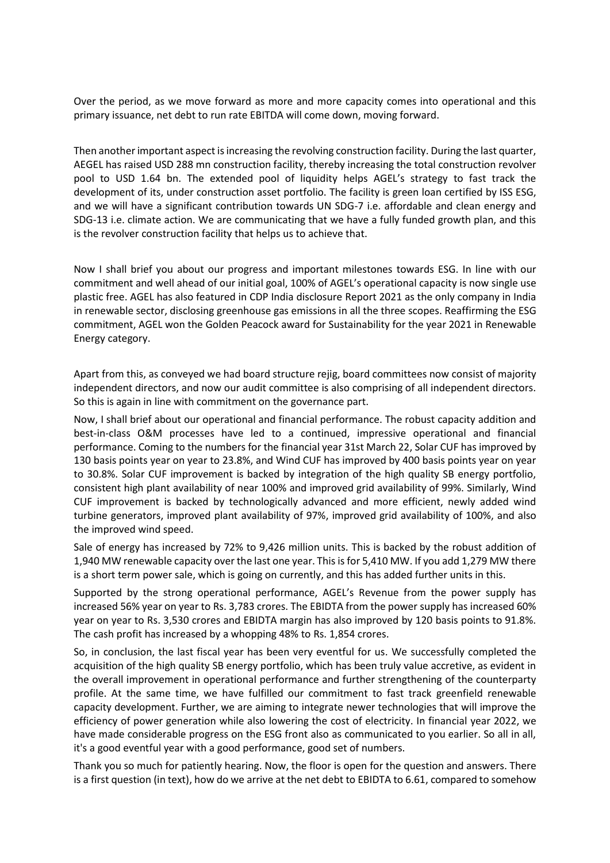Over the period, as we move forward as more and more capacity comes into operational and this primary issuance, net debt to run rate EBITDA will come down, moving forward.

Then another important aspect is increasing the revolving construction facility. During the last quarter, AEGEL has raised USD 288 mn construction facility, thereby increasing the total construction revolver pool to USD 1.64 bn. The extended pool of liquidity helps AGEL's strategy to fast track the development of its, under construction asset portfolio. The facility is green loan certified by ISS ESG, and we will have a significant contribution towards UN SDG-7 i.e. affordable and clean energy and SDG-13 i.e. climate action. We are communicating that we have a fully funded growth plan, and this is the revolver construction facility that helps us to achieve that.

Now I shall brief you about our progress and important milestones towards ESG. In line with our commitment and well ahead of our initial goal, 100% of AGEL's operational capacity is now single use plastic free. AGEL has also featured in CDP India disclosure Report 2021 as the only company in India in renewable sector, disclosing greenhouse gas emissions in all the three scopes. Reaffirming the ESG commitment, AGEL won the Golden Peacock award for Sustainability for the year 2021 in Renewable Energy category.

Apart from this, as conveyed we had board structure rejig, board committees now consist of majority independent directors, and now our audit committee is also comprising of all independent directors. So this is again in line with commitment on the governance part.

Now, I shall brief about our operational and financial performance. The robust capacity addition and best-in-class O&M processes have led to a continued, impressive operational and financial performance. Coming to the numbers for the financial year 31st March 22, Solar CUF has improved by 130 basis points year on year to 23.8%, and Wind CUF has improved by 400 basis points year on year to 30.8%. Solar CUF improvement is backed by integration of the high quality SB energy portfolio, consistent high plant availability of near 100% and improved grid availability of 99%. Similarly, Wind CUF improvement is backed by technologically advanced and more efficient, newly added wind turbine generators, improved plant availability of 97%, improved grid availability of 100%, and also the improved wind speed.

Sale of energy has increased by 72% to 9,426 million units. This is backed by the robust addition of 1,940 MW renewable capacity over the last one year. This is for 5,410 MW. If you add 1,279 MW there is a short term power sale, which is going on currently, and this has added further units in this.

Supported by the strong operational performance, AGEL's Revenue from the power supply has increased 56% year on year to Rs. 3,783 crores. The EBIDTA from the power supply has increased 60% year on year to Rs. 3,530 crores and EBIDTA margin has also improved by 120 basis points to 91.8%. The cash profit has increased by a whopping 48% to Rs. 1,854 crores.

So, in conclusion, the last fiscal year has been very eventful for us. We successfully completed the acquisition of the high quality SB energy portfolio, which has been truly value accretive, as evident in the overall improvement in operational performance and further strengthening of the counterparty profile. At the same time, we have fulfilled our commitment to fast track greenfield renewable capacity development. Further, we are aiming to integrate newer technologies that will improve the efficiency of power generation while also lowering the cost of electricity. In financial year 2022, we have made considerable progress on the ESG front also as communicated to you earlier. So all in all, it's a good eventful year with a good performance, good set of numbers.

Thank you so much for patiently hearing. Now, the floor is open for the question and answers. There is a first question (in text), how do we arrive at the net debt to EBIDTA to 6.61, compared to somehow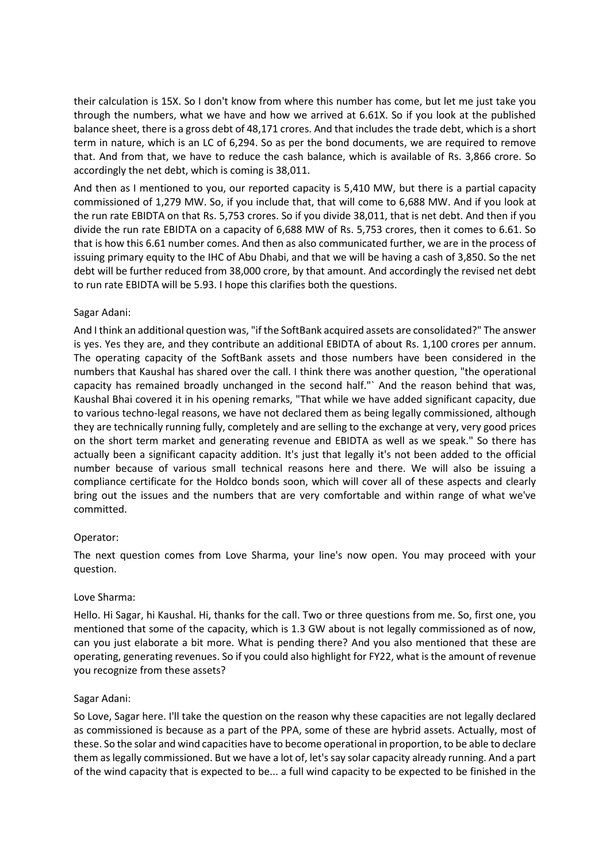their calculation is 15X. So I don't know from where this number has come, but let me just take you through the numbers, what we have and how we arrived at 6.61X. So if you look at the published balance sheet, there is a gross debt of 48,171 crores. And that includes the trade debt, which is a short term in nature, which is an LC of 6,294. So as per the bond documents, we are required to remove that. And from that, we have to reduce the cash balance, which is available of Rs. 3,866 crore. So accordingly the net debt, which is coming is 38,011.

And then as I mentioned to you, our reported capacity is 5,410 MW, but there is a partial capacity commissioned of 1,279 MW. So, if you include that, that will come to 6,688 MW. And if you look at the run rate EBIDTA on that Rs. 5,753 crores. So if you divide 38,011, that is net debt. And then if you divide the run rate EBIDTA on a capacity of 6,688 MW of Rs. 5,753 crores, then it comes to 6.61. So that is how this 6.61 number comes. And then as also communicated further, we are in the process of issuing primary equity to the IHC of Abu Dhabi, and that we will be having a cash of 3,850. So the net debt will be further reduced from 38,000 crore, by that amount. And accordingly the revised net debt to run rate EBIDTA will be 5.93. I hope this clarifies both the questions.

### Sagar Adani:

And I think an additional question was, "if the SoftBank acquired assets are consolidated?" The answer is yes. Yes they are, and they contribute an additional EBIDTA of about Rs. 1,100 crores per annum. The operating capacity of the SoftBank assets and those numbers have been considered in the numbers that Kaushal has shared over the call. I think there was another question, "the operational capacity has remained broadly unchanged in the second half."` And the reason behind that was, Kaushal Bhai covered it in his opening remarks, "That while we have added significant capacity, due to various techno-legal reasons, we have not declared them as being legally commissioned, although they are technically running fully, completely and are selling to the exchange at very, very good prices on the short term market and generating revenue and EBIDTA as well as we speak." So there has actually been a significant capacity addition. It's just that legally it's not been added to the official number because of various small technical reasons here and there. We will also be issuing a compliance certificate for the Holdco bonds soon, which will cover all of these aspects and clearly bring out the issues and the numbers that are very comfortable and within range of what we've committed.

### Operator:

The next question comes from Love Sharma, your line's now open. You may proceed with your question.

### Love Sharma:

Hello. Hi Sagar, hi Kaushal. Hi, thanks for the call. Two or three questions from me. So, first one, you mentioned that some of the capacity, which is 1.3 GW about is not legally commissioned as of now, can you just elaborate a bit more. What is pending there? And you also mentioned that these are operating, generating revenues. So if you could also highlight for FY22, what is the amount of revenue you recognize from these assets?

### Sagar Adani:

So Love, Sagar here. I'll take the question on the reason why these capacities are not legally declared as commissioned is because as a part of the PPA, some of these are hybrid assets. Actually, most of these. So the solar and wind capacities have to become operational in proportion, to be able to declare them as legally commissioned. But we have a lot of, let's say solar capacity already running. And a part of the wind capacity that is expected to be... a full wind capacity to be expected to be finished in the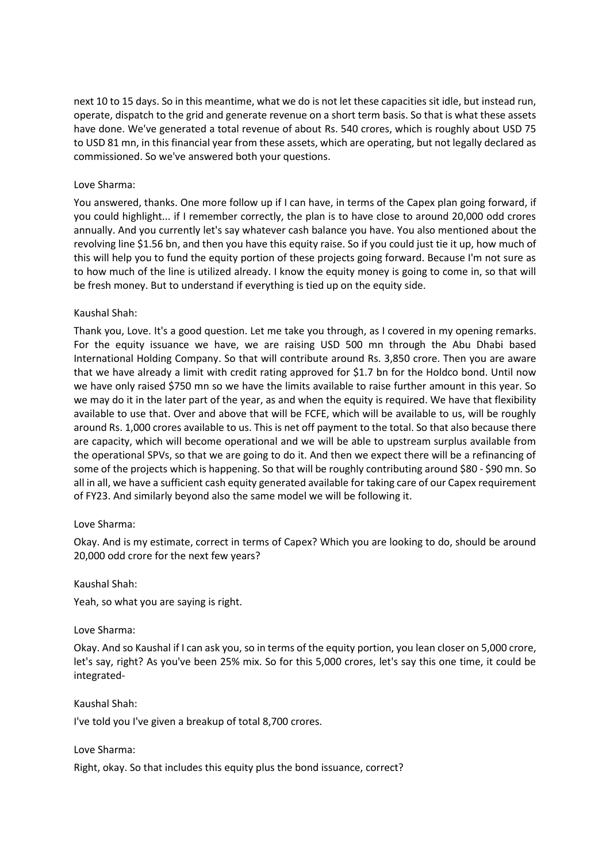next 10 to 15 days. So in this meantime, what we do is not let these capacities sit idle, but instead run, operate, dispatch to the grid and generate revenue on a short term basis. So that is what these assets have done. We've generated a total revenue of about Rs. 540 crores, which is roughly about USD 75 to USD 81 mn, in this financial year from these assets, which are operating, but not legally declared as commissioned. So we've answered both your questions.

### Love Sharma:

You answered, thanks. One more follow up if I can have, in terms of the Capex plan going forward, if you could highlight... if I remember correctly, the plan is to have close to around 20,000 odd crores annually. And you currently let's say whatever cash balance you have. You also mentioned about the revolving line \$1.56 bn, and then you have this equity raise. So if you could just tie it up, how much of this will help you to fund the equity portion of these projects going forward. Because I'm not sure as to how much of the line is utilized already. I know the equity money is going to come in, so that will be fresh money. But to understand if everything is tied up on the equity side.

#### Kaushal Shah:

Thank you, Love. It's a good question. Let me take you through, as I covered in my opening remarks. For the equity issuance we have, we are raising USD 500 mn through the Abu Dhabi based International Holding Company. So that will contribute around Rs. 3,850 crore. Then you are aware that we have already a limit with credit rating approved for \$1.7 bn for the Holdco bond. Until now we have only raised \$750 mn so we have the limits available to raise further amount in this year. So we may do it in the later part of the year, as and when the equity is required. We have that flexibility available to use that. Over and above that will be FCFE, which will be available to us, will be roughly around Rs. 1,000 crores available to us. This is net off payment to the total. So that also because there are capacity, which will become operational and we will be able to upstream surplus available from the operational SPVs, so that we are going to do it. And then we expect there will be a refinancing of some of the projects which is happening. So that will be roughly contributing around \$80 - \$90 mn. So all in all, we have a sufficient cash equity generated available for taking care of our Capex requirement of FY23. And similarly beyond also the same model we will be following it.

#### Love Sharma:

Okay. And is my estimate, correct in terms of Capex? Which you are looking to do, should be around 20,000 odd crore for the next few years?

#### Kaushal Shah:

Yeah, so what you are saying is right.

#### Love Sharma:

Okay. And so Kaushal if I can ask you, so in terms of the equity portion, you lean closer on 5,000 crore, let's say, right? As you've been 25% mix. So for this 5,000 crores, let's say this one time, it could be integrated-

#### Kaushal Shah:

I've told you I've given a breakup of total 8,700 crores.

#### Love Sharma:

Right, okay. So that includes this equity plus the bond issuance, correct?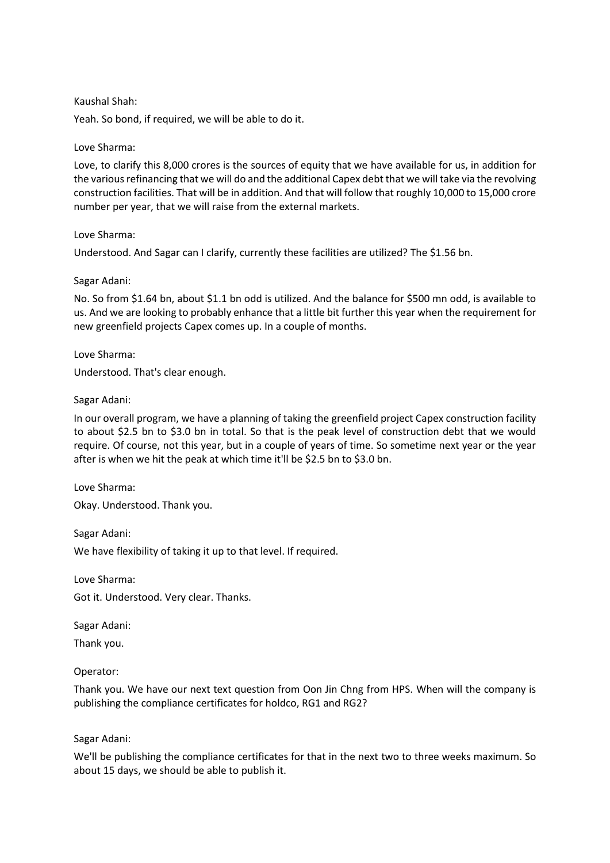## Kaushal Shah:

Yeah. So bond, if required, we will be able to do it.

## Love Sharma:

Love, to clarify this 8,000 crores is the sources of equity that we have available for us, in addition for the various refinancing that we will do and the additional Capex debt that we will take via the revolving construction facilities. That will be in addition. And that will follow that roughly 10,000 to 15,000 crore number per year, that we will raise from the external markets.

### Love Sharma:

Understood. And Sagar can I clarify, currently these facilities are utilized? The \$1.56 bn.

# Sagar Adani:

No. So from \$1.64 bn, about \$1.1 bn odd is utilized. And the balance for \$500 mn odd, is available to us. And we are looking to probably enhance that a little bit further this year when the requirement for new greenfield projects Capex comes up. In a couple of months.

Love Sharma:

Understood. That's clear enough.

# Sagar Adani:

In our overall program, we have a planning of taking the greenfield project Capex construction facility to about \$2.5 bn to \$3.0 bn in total. So that is the peak level of construction debt that we would require. Of course, not this year, but in a couple of years of time. So sometime next year or the year after is when we hit the peak at which time it'll be \$2.5 bn to \$3.0 bn.

Love Sharma:

Okay. Understood. Thank you.

Sagar Adani:

We have flexibility of taking it up to that level. If required.

Love Sharma:

Got it. Understood. Very clear. Thanks.

Sagar Adani:

Thank you.

# Operator:

Thank you. We have our next text question from Oon Jin Chng from HPS. When will the company is publishing the compliance certificates for holdco, RG1 and RG2?

### Sagar Adani:

We'll be publishing the compliance certificates for that in the next two to three weeks maximum. So about 15 days, we should be able to publish it.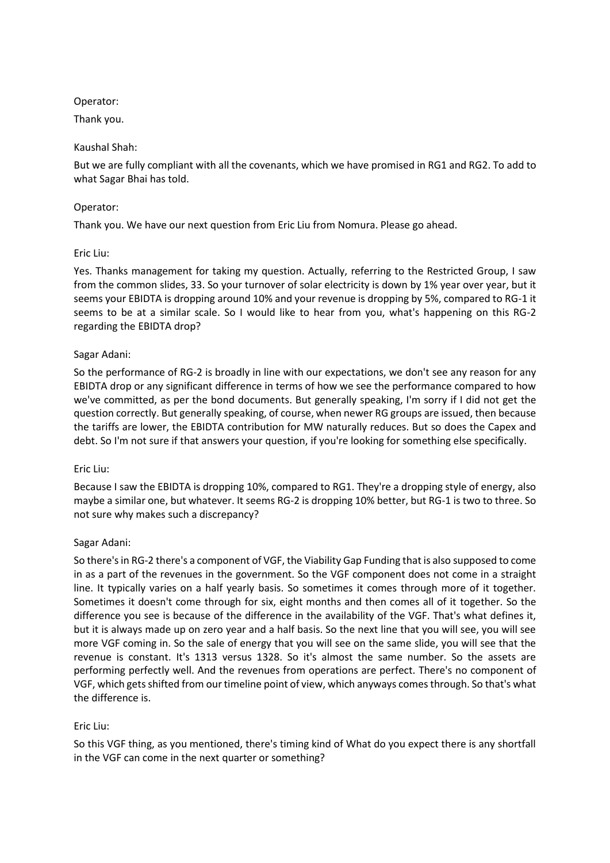# Operator:

Thank you.

# Kaushal Shah:

But we are fully compliant with all the covenants, which we have promised in RG1 and RG2. To add to what Sagar Bhai has told.

## Operator:

Thank you. We have our next question from Eric Liu from Nomura. Please go ahead.

### Eric Liu:

Yes. Thanks management for taking my question. Actually, referring to the Restricted Group, I saw from the common slides, 33. So your turnover of solar electricity is down by 1% year over year, but it seems your EBIDTA is dropping around 10% and your revenue is dropping by 5%, compared to RG-1 it seems to be at a similar scale. So I would like to hear from you, what's happening on this RG-2 regarding the EBIDTA drop?

# Sagar Adani:

So the performance of RG-2 is broadly in line with our expectations, we don't see any reason for any EBIDTA drop or any significant difference in terms of how we see the performance compared to how we've committed, as per the bond documents. But generally speaking, I'm sorry if I did not get the question correctly. But generally speaking, of course, when newer RG groups are issued, then because the tariffs are lower, the EBIDTA contribution for MW naturally reduces. But so does the Capex and debt. So I'm not sure if that answers your question, if you're looking for something else specifically.

### Eric Liu:

Because I saw the EBIDTA is dropping 10%, compared to RG1. They're a dropping style of energy, also maybe a similar one, but whatever. It seems RG-2 is dropping 10% better, but RG-1 is two to three. So not sure why makes such a discrepancy?

### Sagar Adani:

So there's in RG-2 there's a component of VGF, the Viability Gap Funding that is also supposed to come in as a part of the revenues in the government. So the VGF component does not come in a straight line. It typically varies on a half yearly basis. So sometimes it comes through more of it together. Sometimes it doesn't come through for six, eight months and then comes all of it together. So the difference you see is because of the difference in the availability of the VGF. That's what defines it, but it is always made up on zero year and a half basis. So the next line that you will see, you will see more VGF coming in. So the sale of energy that you will see on the same slide, you will see that the revenue is constant. It's 1313 versus 1328. So it's almost the same number. So the assets are performing perfectly well. And the revenues from operations are perfect. There's no component of VGF, which gets shifted from our timeline point of view, which anyways comes through. So that's what the difference is.

### Eric Liu:

So this VGF thing, as you mentioned, there's timing kind of What do you expect there is any shortfall in the VGF can come in the next quarter or something?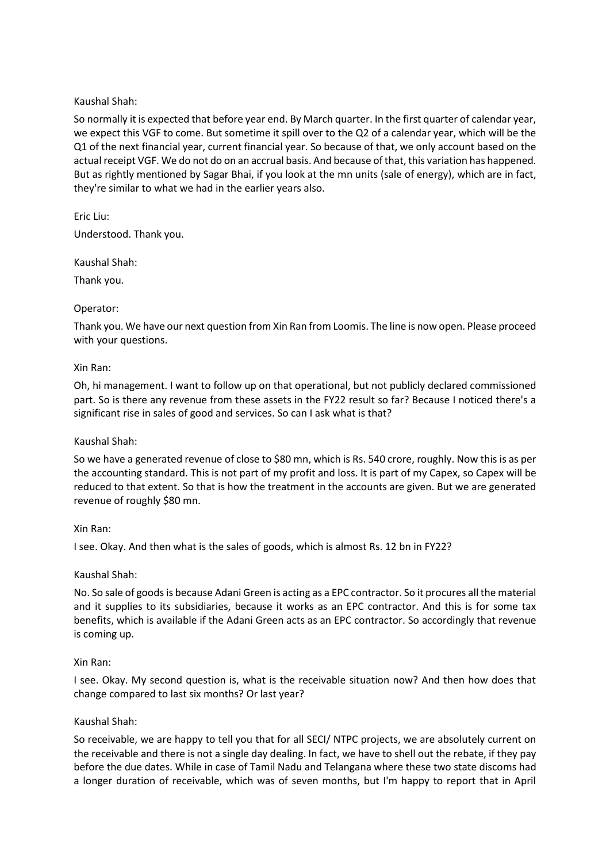# Kaushal Shah:

So normally it is expected that before year end. By March quarter. In the first quarter of calendar year, we expect this VGF to come. But sometime it spill over to the Q2 of a calendar year, which will be the Q1 of the next financial year, current financial year. So because of that, we only account based on the actual receipt VGF. We do not do on an accrual basis. And because of that, this variation has happened. But as rightly mentioned by Sagar Bhai, if you look at the mn units (sale of energy), which are in fact, they're similar to what we had in the earlier years also.

Eric Liu: Understood. Thank you.

Kaushal Shah:

Thank you.

### Operator:

Thank you. We have our next question from Xin Ran from Loomis. The line is now open. Please proceed with your questions.

### Xin Ran:

Oh, hi management. I want to follow up on that operational, but not publicly declared commissioned part. So is there any revenue from these assets in the FY22 result so far? Because I noticed there's a significant rise in sales of good and services. So can I ask what is that?

### Kaushal Shah:

So we have a generated revenue of close to \$80 mn, which is Rs. 540 crore, roughly. Now this is as per the accounting standard. This is not part of my profit and loss. It is part of my Capex, so Capex will be reduced to that extent. So that is how the treatment in the accounts are given. But we are generated revenue of roughly \$80 mn.

### Xin Ran:

I see. Okay. And then what is the sales of goods, which is almost Rs. 12 bn in FY22?

### Kaushal Shah:

No. So sale of goods is because Adani Green is acting as a EPC contractor. So it procures all the material and it supplies to its subsidiaries, because it works as an EPC contractor. And this is for some tax benefits, which is available if the Adani Green acts as an EPC contractor. So accordingly that revenue is coming up.

#### Xin Ran:

I see. Okay. My second question is, what is the receivable situation now? And then how does that change compared to last six months? Or last year?

### Kaushal Shah:

So receivable, we are happy to tell you that for all SECI/ NTPC projects, we are absolutely current on the receivable and there is not a single day dealing. In fact, we have to shell out the rebate, if they pay before the due dates. While in case of Tamil Nadu and Telangana where these two state discoms had a longer duration of receivable, which was of seven months, but I'm happy to report that in April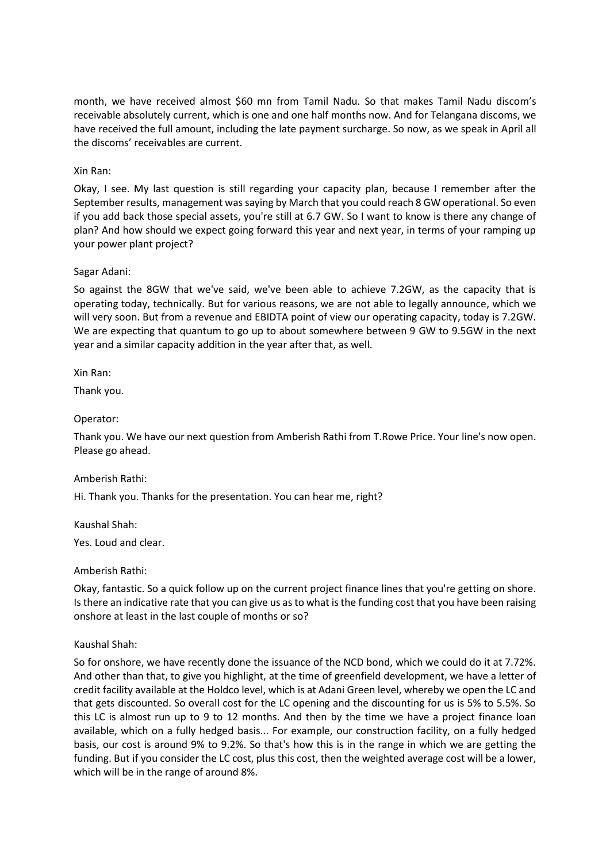month, we have received almost \$60 mn from Tamil Nadu. So that makes Tamil Nadu discom's receivable absolutely current, which is one and one half months now. And for Telangana discoms, we have received the full amount, including the late payment surcharge. So now, as we speak in April all the discoms' receivables are current.

# Xin Ran:

Okay, I see. My last question is still regarding your capacity plan, because I remember after the September results, management was saying by March that you could reach 8 GW operational. So even if you add back those special assets, you're still at 6.7 GW. So I want to know is there any change of plan? And how should we expect going forward this year and next year, in terms of your ramping up your power plant project?

# Sagar Adani:

So against the 8GW that we've said, we've been able to achieve 7.2GW, as the capacity that is operating today, technically. But for various reasons, we are not able to legally announce, which we will very soon. But from a revenue and EBIDTA point of view our operating capacity, today is 7.2GW. We are expecting that quantum to go up to about somewhere between 9 GW to 9.5GW in the next year and a similar capacity addition in the year after that, as well.

Xin Ran:

Thank you.

# Operator:

Thank you. We have our next question from Amberish Rathi from T.Rowe Price. Your line's now open. Please go ahead.

### Amberish Rathi:

Hi. Thank you. Thanks for the presentation. You can hear me, right?

Kaushal Shah: Yes. Loud and clear.

### Amberish Rathi:

Okay, fantastic. So a quick follow up on the current project finance lines that you're getting on shore. Is there an indicative rate that you can give us as to what is the funding cost that you have been raising onshore at least in the last couple of months or so?

### Kaushal Shah:

So for onshore, we have recently done the issuance of the NCD bond, which we could do it at 7.72%. And other than that, to give you highlight, at the time of greenfield development, we have a letter of credit facility available at the Holdco level, which is at Adani Green level, whereby we open the LC and that gets discounted. So overall cost for the LC opening and the discounting for us is 5% to 5.5%. So this LC is almost run up to 9 to 12 months. And then by the time we have a project finance loan available, which on a fully hedged basis... For example, our construction facility, on a fully hedged basis, our cost is around 9% to 9.2%. So that's how this is in the range in which we are getting the funding. But if you consider the LC cost, plus this cost, then the weighted average cost will be a lower, which will be in the range of around 8%.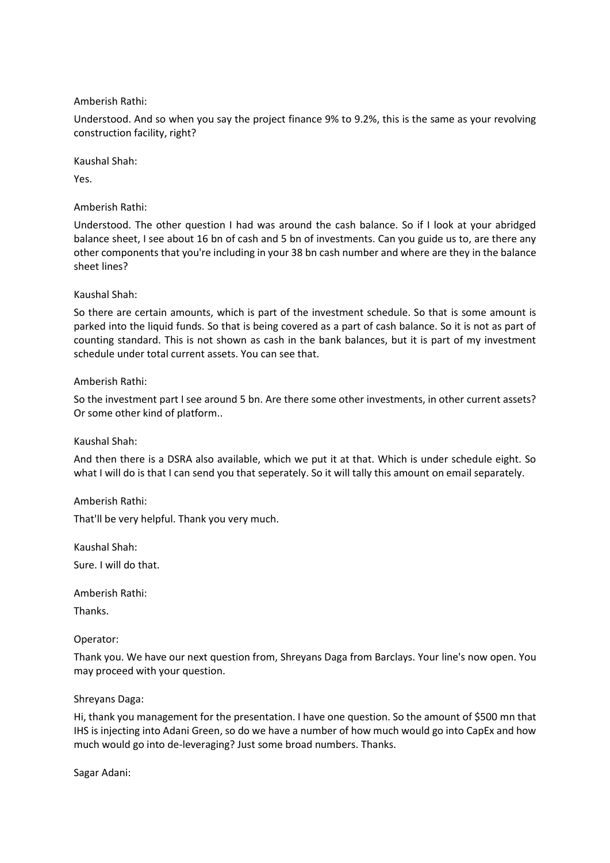Amberish Rathi:

Understood. And so when you say the project finance 9% to 9.2%, this is the same as your revolving construction facility, right?

Kaushal Shah:

Yes.

Amberish Rathi:

Understood. The other question I had was around the cash balance. So if I look at your abridged balance sheet, I see about 16 bn of cash and 5 bn of investments. Can you guide us to, are there any other components that you're including in your 38 bn cash number and where are they in the balance sheet lines?

### Kaushal Shah:

So there are certain amounts, which is part of the investment schedule. So that is some amount is parked into the liquid funds. So that is being covered as a part of cash balance. So it is not as part of counting standard. This is not shown as cash in the bank balances, but it is part of my investment schedule under total current assets. You can see that.

#### Amberish Rathi:

So the investment part I see around 5 bn. Are there some other investments, in other current assets? Or some other kind of platform..

### Kaushal Shah:

And then there is a DSRA also available, which we put it at that. Which is under schedule eight. So what I will do is that I can send you that seperately. So it will tally this amount on email separately.

Amberish Rathi: That'll be very helpful. Thank you very much.

Kaushal Shah: Sure. I will do that.

Amberish Rathi:

Thanks.

### Operator:

Thank you. We have our next question from, Shreyans Daga from Barclays. Your line's now open. You may proceed with your question.

#### Shreyans Daga:

Hi, thank you management for the presentation. I have one question. So the amount of \$500 mn that IHS is injecting into Adani Green, so do we have a number of how much would go into CapEx and how much would go into de-leveraging? Just some broad numbers. Thanks.

Sagar Adani: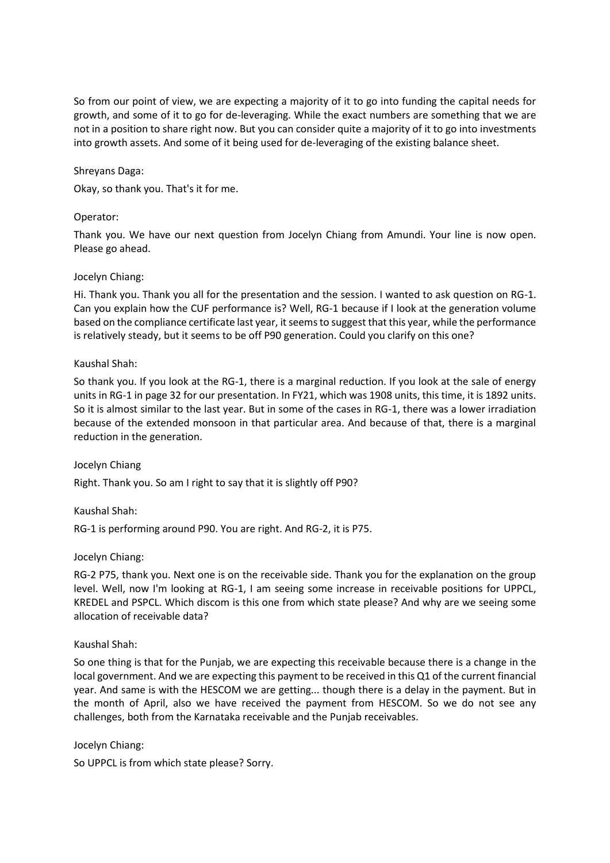So from our point of view, we are expecting a majority of it to go into funding the capital needs for growth, and some of it to go for de-leveraging. While the exact numbers are something that we are not in a position to share right now. But you can consider quite a majority of it to go into investments into growth assets. And some of it being used for de-leveraging of the existing balance sheet.

## Shreyans Daga:

Okay, so thank you. That's it for me.

# Operator:

Thank you. We have our next question from Jocelyn Chiang from Amundi. Your line is now open. Please go ahead.

# Jocelyn Chiang:

Hi. Thank you. Thank you all for the presentation and the session. I wanted to ask question on RG-1. Can you explain how the CUF performance is? Well, RG-1 because if I look at the generation volume based on the compliance certificate last year, it seems to suggest that this year, while the performance is relatively steady, but it seems to be off P90 generation. Could you clarify on this one?

# Kaushal Shah:

So thank you. If you look at the RG-1, there is a marginal reduction. If you look at the sale of energy units in RG-1 in page 32 for our presentation. In FY21, which was 1908 units, this time, it is 1892 units. So it is almost similar to the last year. But in some of the cases in RG-1, there was a lower irradiation because of the extended monsoon in that particular area. And because of that, there is a marginal reduction in the generation.

### Jocelyn Chiang

Right. Thank you. So am I right to say that it is slightly off P90?

### Kaushal Shah:

RG-1 is performing around P90. You are right. And RG-2, it is P75.

### Jocelyn Chiang:

RG-2 P75, thank you. Next one is on the receivable side. Thank you for the explanation on the group level. Well, now I'm looking at RG-1, I am seeing some increase in receivable positions for UPPCL, KREDEL and PSPCL. Which discom is this one from which state please? And why are we seeing some allocation of receivable data?

### Kaushal Shah:

So one thing is that for the Punjab, we are expecting this receivable because there is a change in the local government. And we are expecting this payment to be received in this Q1 of the current financial year. And same is with the HESCOM we are getting... though there is a delay in the payment. But in the month of April, also we have received the payment from HESCOM. So we do not see any challenges, both from the Karnataka receivable and the Punjab receivables.

### Jocelyn Chiang:

So UPPCL is from which state please? Sorry.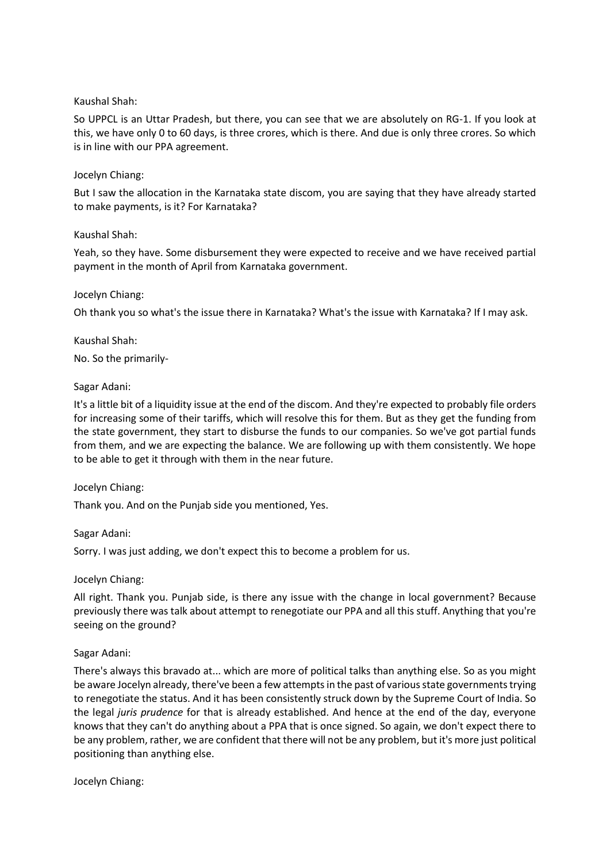## Kaushal Shah:

So UPPCL is an Uttar Pradesh, but there, you can see that we are absolutely on RG-1. If you look at this, we have only 0 to 60 days, is three crores, which is there. And due is only three crores. So which is in line with our PPA agreement.

## Jocelyn Chiang:

But I saw the allocation in the Karnataka state discom, you are saying that they have already started to make payments, is it? For Karnataka?

### Kaushal Shah:

Yeah, so they have. Some disbursement they were expected to receive and we have received partial payment in the month of April from Karnataka government.

### Jocelyn Chiang:

Oh thank you so what's the issue there in Karnataka? What's the issue with Karnataka? If I may ask.

Kaushal Shah:

No. So the primarily-

# Sagar Adani:

It's a little bit of a liquidity issue at the end of the discom. And they're expected to probably file orders for increasing some of their tariffs, which will resolve this for them. But as they get the funding from the state government, they start to disburse the funds to our companies. So we've got partial funds from them, and we are expecting the balance. We are following up with them consistently. We hope to be able to get it through with them in the near future.

### Jocelyn Chiang:

Thank you. And on the Punjab side you mentioned, Yes.

### Sagar Adani:

Sorry. I was just adding, we don't expect this to become a problem for us.

### Jocelyn Chiang:

All right. Thank you. Punjab side, is there any issue with the change in local government? Because previously there was talk about attempt to renegotiate our PPA and all this stuff. Anything that you're seeing on the ground?

### Sagar Adani:

There's always this bravado at... which are more of political talks than anything else. So as you might be aware Jocelyn already, there've been a few attempts in the past of various state governments trying to renegotiate the status. And it has been consistently struck down by the Supreme Court of India. So the legal *juris prudence* for that is already established. And hence at the end of the day, everyone knows that they can't do anything about a PPA that is once signed. So again, we don't expect there to be any problem, rather, we are confident that there will not be any problem, but it's more just political positioning than anything else.

Jocelyn Chiang: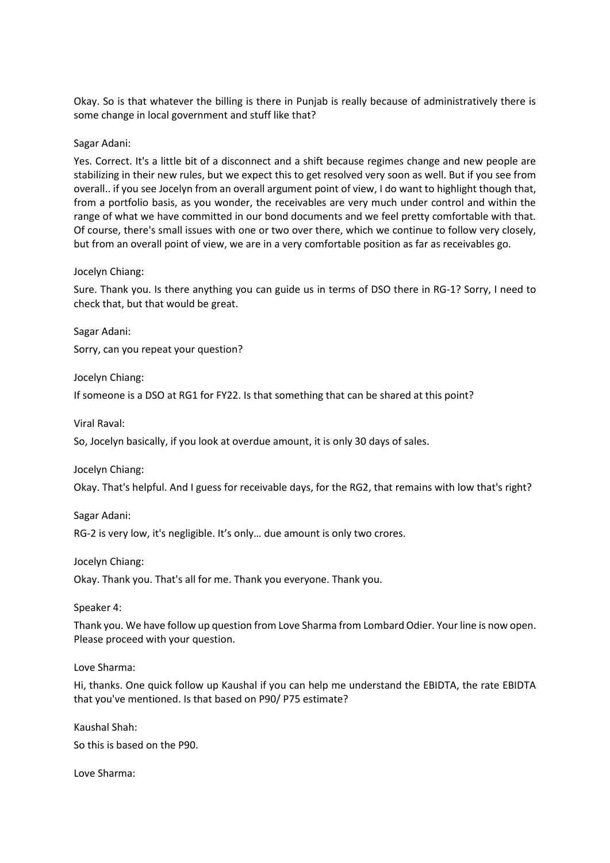Okay. So is that whatever the billing is there in Punjab is really because of administratively there is some change in local government and stuff like that?

#### Sagar Adani:

Yes. Correct. It's a little bit of a disconnect and a shift because regimes change and new people are stabilizing in their new rules, but we expect this to get resolved very soon as well. But if you see from overall.. if you see Jocelyn from an overall argument point of view, I do want to highlight though that, from a portfolio basis, as you wonder, the receivables are very much under control and within the range of what we have committed in our bond documents and we feel pretty comfortable with that. Of course, there's small issues with one or two over there, which we continue to follow very closely, but from an overall point of view, we are in a very comfortable position as far as receivables go.

#### Jocelyn Chiang:

Sure. Thank you. Is there anything you can guide us in terms of DSO there in RG-1? Sorry, I need to check that, but that would be great.

Sagar Adani:

Sorry, can you repeat your question?

Jocelyn Chiang:

If someone is a DSO at RG1 for FY22. Is that something that can be shared at this point?

Viral Raval:

So, Jocelyn basically, if you look at overdue amount, it is only 30 days of sales.

Jocelyn Chiang:

Okay. That's helpful. And I guess for receivable days, for the RG2, that remains with low that's right?

Sagar Adani:

RG-2 is very low, it's negligible. It's only… due amount is only two crores.

Jocelyn Chiang:

Okay. Thank you. That's all for me. Thank you everyone. Thank you.

Speaker 4:

Thank you. We have follow up question from Love Sharma from Lombard Odier. Your line is now open. Please proceed with your question.

Love Sharma:

Hi, thanks. One quick follow up Kaushal if you can help me understand the EBIDTA, the rate EBIDTA that you've mentioned. Is that based on P90/ P75 estimate?

Kaushal Shah: So this is based on the P90.

Love Sharma: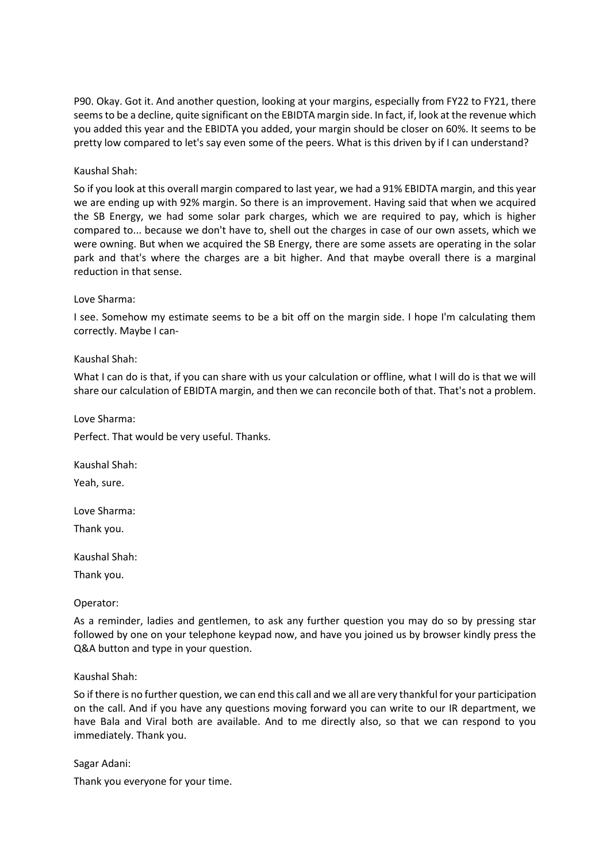P90. Okay. Got it. And another question, looking at your margins, especially from FY22 to FY21, there seems to be a decline, quite significant on the EBIDTA margin side. In fact, if, look at the revenue which you added this year and the EBIDTA you added, your margin should be closer on 60%. It seems to be pretty low compared to let's say even some of the peers. What is this driven by if I can understand?

## Kaushal Shah:

So if you look at this overall margin compared to last year, we had a 91% EBIDTA margin, and this year we are ending up with 92% margin. So there is an improvement. Having said that when we acquired the SB Energy, we had some solar park charges, which we are required to pay, which is higher compared to... because we don't have to, shell out the charges in case of our own assets, which we were owning. But when we acquired the SB Energy, there are some assets are operating in the solar park and that's where the charges are a bit higher. And that maybe overall there is a marginal reduction in that sense.

### Love Sharma:

I see. Somehow my estimate seems to be a bit off on the margin side. I hope I'm calculating them correctly. Maybe I can-

### Kaushal Shah:

What I can do is that, if you can share with us your calculation or offline, what I will do is that we will share our calculation of EBIDTA margin, and then we can reconcile both of that. That's not a problem.

Love Sharma:

Perfect. That would be very useful. Thanks.

Kaushal Shah:

Yeah, sure.

Love Sharma:

Thank you.

Kaushal Shah:

Thank you.

### Operator:

As a reminder, ladies and gentlemen, to ask any further question you may do so by pressing star followed by one on your telephone keypad now, and have you joined us by browser kindly press the Q&A button and type in your question.

### Kaushal Shah:

So if there is no further question, we can end this call and we all are very thankful for your participation on the call. And if you have any questions moving forward you can write to our IR department, we have Bala and Viral both are available. And to me directly also, so that we can respond to you immediately. Thank you.

### Sagar Adani:

Thank you everyone for your time.